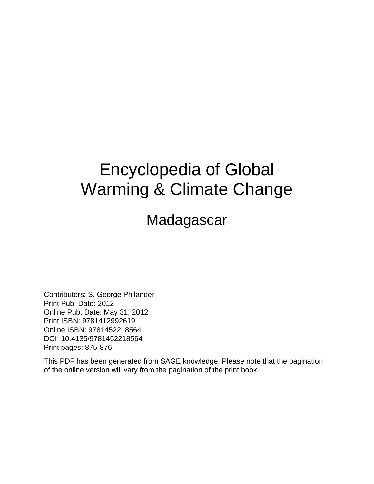## Encyclopedia of Global Warming & Climate Change

Madagascar

Contributors: S. George Philander Print Pub. Date: 2012 Online Pub. Date: May 31, 2012 Print ISBN: 9781412992619 Online ISBN: 9781452218564 DOI: 10.4135/9781452218564 Print pages: 875-876

This PDF has been generated from SAGE knowledge. Please note that the pagination of the online version will vary from the pagination of the print book.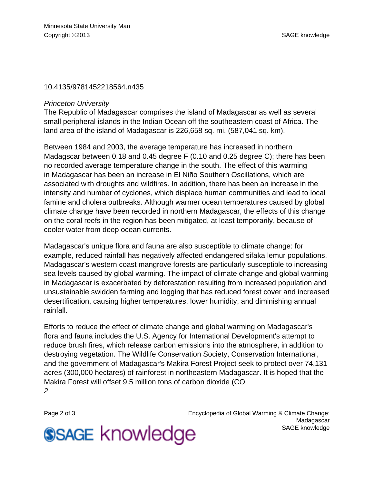## 10.4135/9781452218564.n435

## Princeton University

The Republic of Madagascar comprises the island of Madagascar as well as several small peripheral islands in the Indian Ocean off the southeastern coast of Africa. The land area of the island of Madagascar is 226,658 sq. mi. (587,041 sq. km).

Between 1984 and 2003, the average temperature has increased in northern Madagscar between 0.18 and 0.45 degree F (0.10 and 0.25 degree C); there has been no recorded average temperature change in the south. The effect of this warming in Madagascar has been an increase in El Niño Southern Oscillations, which are associated with droughts and wildfires. In addition, there has been an increase in the intensity and number of cyclones, which displace human communities and lead to local famine and cholera outbreaks. Although warmer ocean temperatures caused by global climate change have been recorded in northern Madagascar, the effects of this change on the coral reefs in the region has been mitigated, at least temporarily, because of cooler water from deep ocean currents.

Madagascar's unique flora and fauna are also susceptible to climate change: for example, reduced rainfall has negatively affected endangered sifaka lemur populations. Madagascar's western coast mangrove forests are particularly susceptible to increasing sea levels caused by global warming. The impact of climate change and global warming in Madagascar is exacerbated by deforestation resulting from increased population and unsustainable swidden farming and logging that has reduced forest cover and increased desertification, causing higher temperatures, lower humidity, and diminishing annual rainfall.

Efforts to reduce the effect of climate change and global warming on Madagascar's flora and fauna includes the U.S. Agency for International Development's attempt to reduce brush fires, which release carbon emissions into the atmosphere, in addition to destroying vegetation. The Wildlife Conservation Society, Conservation International, and the government of Madagascar's Makira Forest Project seek to protect over 74,131 acres (300,000 hectares) of rainforest in northeastern Madagascar. It is hoped that the Makira Forest will offset 9.5 million tons of carbon dioxide (CO 2

Page 2 of 3 **Encyclopedia of Global Warming & Climate Change:** Encyclopedia of Global Warming & Climate Change: Madagascar [SAGE knowledge](http://knowledge.sagepub.com)